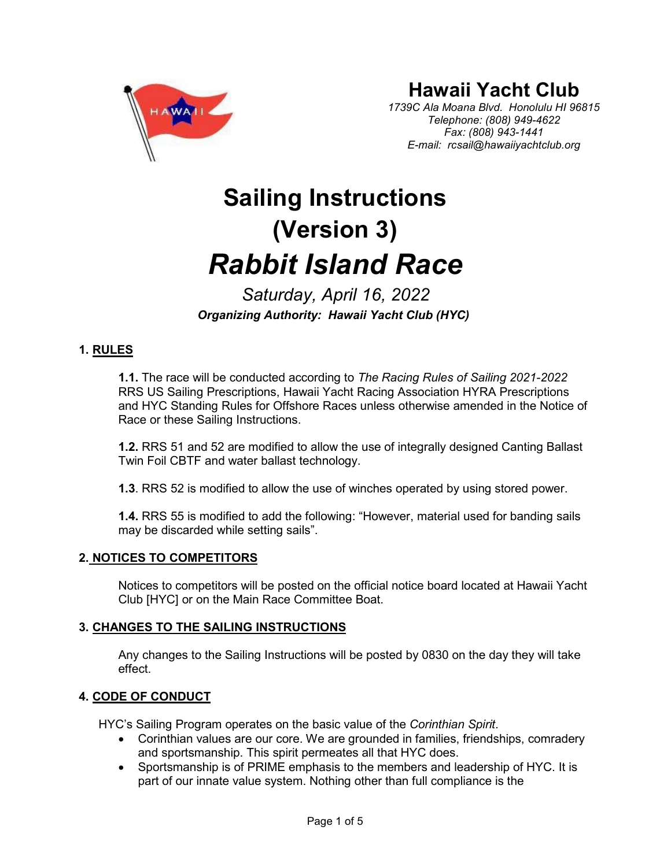

# **Hawaii Yacht Club**

*1739C Ala Moana Blvd. Honolulu HI 96815 Telephone: (808) 949-4622 Fax: (808) 943-1441 E-mail: [rcsail@hawaiiyachtclub.org](mailto:rcsail@hawaiiyachtclub.org)*

# **Sailing Instructions (Version 3)** *Rabbit Island Race*

*Saturday, April 16, 2022 Organizing Authority: Hawaii Yacht Club (HYC)*

# **1. RULES**

**1.1.** The race will be conducted according to *The Racing Rules of Sailing 2021-2022* RRS US Sailing Prescriptions, Hawaii Yacht Racing Association HYRA Prescriptions and HYC Standing Rules for Offshore Races unless otherwise amended in the Notice of Race or these Sailing Instructions.

**1.2.** RRS 51 and 52 are modified to allow the use of integrally designed Canting Ballast Twin Foil CBTF and water ballast technology.

**1.3**. RRS 52 is modified to allow the use of winches operated by using stored power.

**1.4.** RRS 55 is modified to add the following: "However, material used for banding sails may be discarded while setting sails".

# **2. NOTICES TO COMPETITORS**

Notices to competitors will be posted on the official notice board located at Hawaii Yacht Club [HYC] or on the Main Race Committee Boat.

# **3. CHANGES TO THE SAILING INSTRUCTIONS**

Any changes to the Sailing Instructions will be posted by 0830 on the day they will take effect.

# **4. CODE OF CONDUCT**

HYC's Sailing Program operates on the basic value of the *Corinthian Spirit*.

- Corinthian values are our core. We are grounded in families, friendships, comradery and sportsmanship. This spirit permeates all that HYC does.
- Sportsmanship is of PRIME emphasis to the members and leadership of HYC. It is part of our innate value system. Nothing other than full compliance is the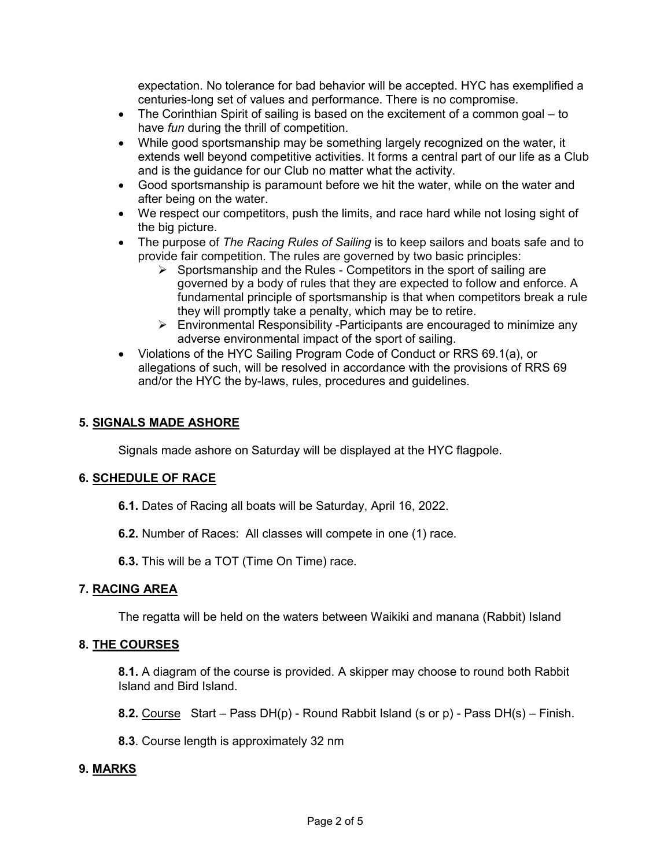expectation. No tolerance for bad behavior will be accepted. HYC has exemplified a centuries-long set of values and performance. There is no compromise.

- The Corinthian Spirit of sailing is based on the excitement of a common goal to have *fun* during the thrill of competition.
- While good sportsmanship may be something largely recognized on the water, it extends well beyond competitive activities. It forms a central part of our life as a Club and is the guidance for our Club no matter what the activity.
- Good sportsmanship is paramount before we hit the water, while on the water and after being on the water.
- We respect our competitors, push the limits, and race hard while not losing sight of the big picture.
- The purpose of *The Racing Rules of Sailing* is to keep sailors and boats safe and to provide fair competition. The rules are governed by two basic principles:
	- $\triangleright$  Sportsmanship and the Rules Competitors in the sport of sailing are governed by a body of rules that they are expected to follow and enforce. A fundamental principle of sportsmanship is that when competitors break a rule they will promptly take a penalty, which may be to retire.
	- $\triangleright$  Environmental Responsibility -Participants are encouraged to minimize any adverse environmental impact of the sport of sailing.
- Violations of the HYC Sailing Program Code of Conduct or RRS 69.1(a), or allegations of such, will be resolved in accordance with the provisions of RRS 69 and/or the HYC the by-laws, rules, procedures and guidelines.

# **5. SIGNALS MADE ASHORE**

Signals made ashore on Saturday will be displayed at the HYC flagpole.

# **6. SCHEDULE OF RACE**

- **6.1.** Dates of Racing all boats will be Saturday, April 16, 2022.
- **6.2.** Number of Races: All classes will compete in one (1) race.
- **6.3.** This will be a TOT (Time On Time) race.

# **7. RACING AREA**

The regatta will be held on the waters between Waikiki and manana (Rabbit) Island

# **8. THE COURSES**

**8.1.** A diagram of the course is provided. A skipper may choose to round both Rabbit Island and Bird Island.

**8.2.** Course Start – Pass DH(p) - Round Rabbit Island (s or p) - Pass DH(s) – Finish.

**8.3**. Course length is approximately 32 nm

# **9. MARKS**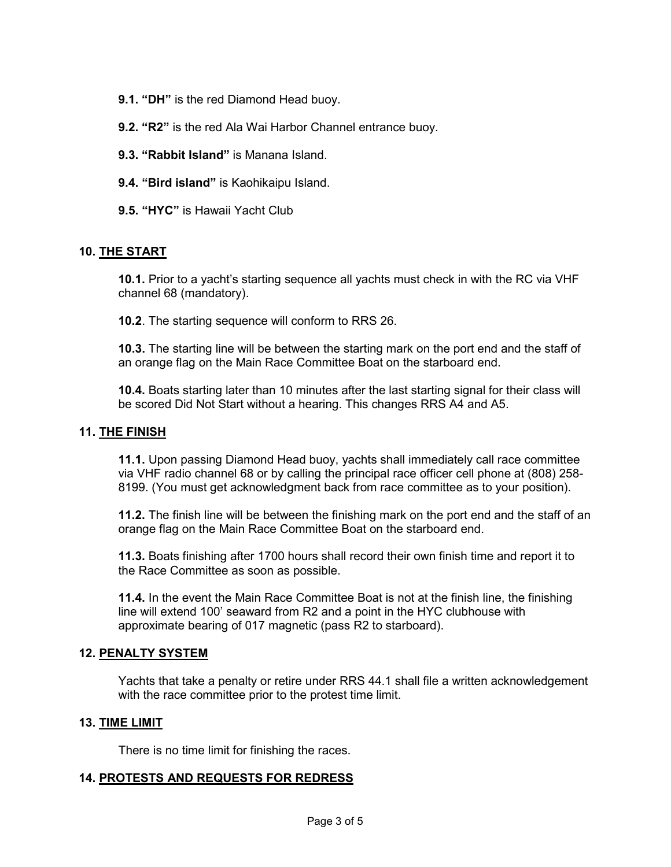- **9.1. "DH"** is the red Diamond Head buoy.
- **9.2. "R2"** is the red Ala Wai Harbor Channel entrance buoy.
- **9.3. "Rabbit Island"** is Manana Island.
- **9.4. "Bird island"** is Kaohikaipu Island.
- **9.5. "HYC"** is Hawaii Yacht Club

#### **10. THE START**

**10.1.** Prior to a yacht's starting sequence all yachts must check in with the RC via VHF channel 68 (mandatory).

**10.2**. The starting sequence will conform to RRS 26.

**10.3.** The starting line will be between the starting mark on the port end and the staff of an orange flag on the Main Race Committee Boat on the starboard end.

**10.4.** Boats starting later than 10 minutes after the last starting signal for their class will be scored Did Not Start without a hearing. This changes RRS A4 and A5.

#### **11. THE FINISH**

**11.1.** Upon passing Diamond Head buoy, yachts shall immediately call race committee via VHF radio channel 68 or by calling the principal race officer cell phone at (808) 258- 8199. (You must get acknowledgment back from race committee as to your position).

**11.2.** The finish line will be between the finishing mark on the port end and the staff of an orange flag on the Main Race Committee Boat on the starboard end.

**11.3.** Boats finishing after 1700 hours shall record their own finish time and report it to the Race Committee as soon as possible.

**11.4.** In the event the Main Race Committee Boat is not at the finish line, the finishing line will extend 100' seaward from R2 and a point in the HYC clubhouse with approximate bearing of 017 magnetic (pass R2 to starboard).

#### **12. PENALTY SYSTEM**

Yachts that take a penalty or retire under RRS 44.1 shall file a written acknowledgement with the race committee prior to the protest time limit.

#### **13. TIME LIMIT**

There is no time limit for finishing the races.

#### **14. PROTESTS AND REQUESTS FOR REDRESS**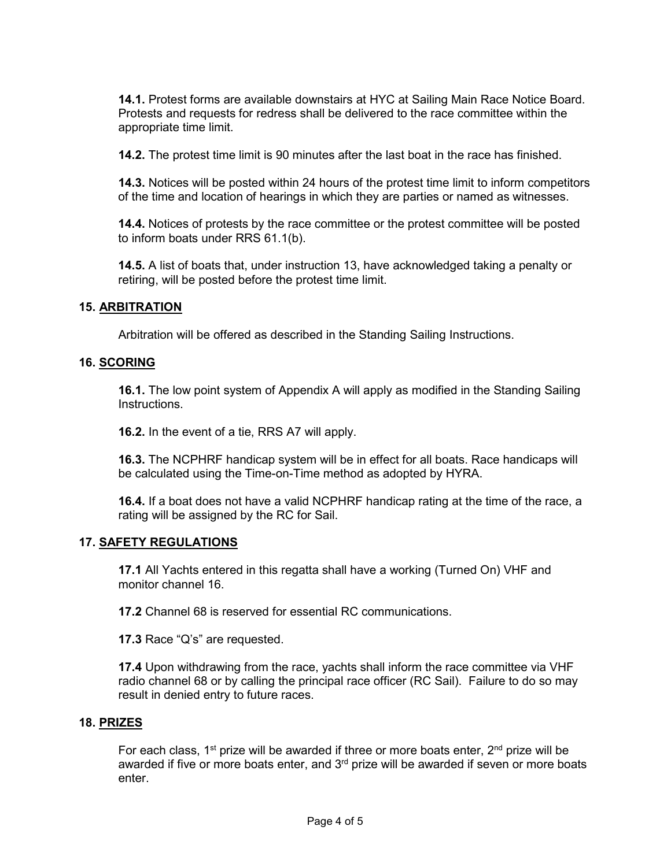**14.1.** Protest forms are available downstairs at HYC at Sailing Main Race Notice Board. Protests and requests for redress shall be delivered to the race committee within the appropriate time limit.

**14.2.** The protest time limit is 90 minutes after the last boat in the race has finished.

**14.3.** Notices will be posted within 24 hours of the protest time limit to inform competitors of the time and location of hearings in which they are parties or named as witnesses.

**14.4.** Notices of protests by the race committee or the protest committee will be posted to inform boats under RRS 61.1(b).

**14.5.** A list of boats that, under instruction 13, have acknowledged taking a penalty or retiring, will be posted before the protest time limit.

#### **15. ARBITRATION**

Arbitration will be offered as described in the Standing Sailing Instructions.

#### **16. SCORING**

**16.1.** The low point system of Appendix A will apply as modified in the Standing Sailing Instructions.

**16.2.** In the event of a tie, RRS A7 will apply.

**16.3.** The NCPHRF handicap system will be in effect for all boats. Race handicaps will be calculated using the Time-on-Time method as adopted by HYRA.

**16.4.** If a boat does not have a valid NCPHRF handicap rating at the time of the race, a rating will be assigned by the RC for Sail.

#### **17. SAFETY REGULATIONS**

**17.1** All Yachts entered in this regatta shall have a working (Turned On) VHF and monitor channel 16.

**17.2** Channel 68 is reserved for essential RC communications.

**17.3** Race "Q's" are requested.

**17.4** Upon withdrawing from the race, yachts shall inform the race committee via VHF radio channel 68 or by calling the principal race officer (RC Sail). Failure to do so may result in denied entry to future races.

#### **18. PRIZES**

For each class, 1<sup>st</sup> prize will be awarded if three or more boats enter,  $2<sup>nd</sup>$  prize will be awarded if five or more boats enter, and  $3<sup>rd</sup>$  prize will be awarded if seven or more boats enter.